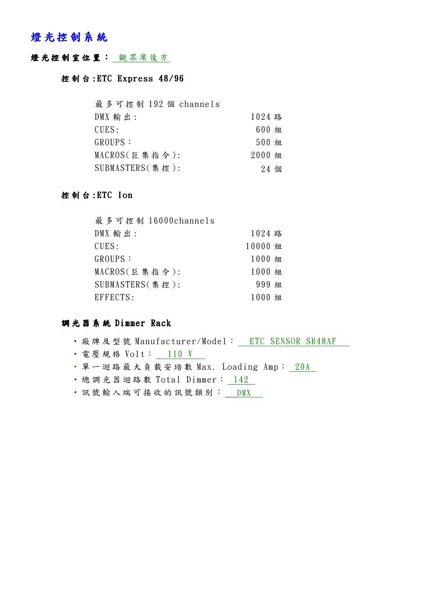### 燈光控制系統

#### 燈光控制室位置: 觀眾席後方

#### 控制台: ETC Express 48/96

| 最多可控制 192 個 channels |         |  |
|----------------------|---------|--|
| $DMX$ 輸出:            | 1024 路  |  |
| CUES:                | 600 組   |  |
| GROUPS :             | $500$ 組 |  |
| MACROS(巨集指令):        | 2000 组  |  |
| SUBMASTERS(集控):      | 24 個    |  |

#### 控 制 台 : ETC Ion

| 最多可控制 16000channels |         |  |
|---------------------|---------|--|
| $DMX$ 輸出:           | 1024 路  |  |
| CUES:               | 10000 組 |  |
| GROUPS :            | 1000 組  |  |
| MACROS(巨集指令):       | 1000 組  |  |
| SUBMASTERS(集控):     | 999 组   |  |
| EFFECTS:            | 1000 組  |  |

#### 調 光 器 系 統 Dimmer Rack

- · 廠牌及型號 Manufacturer/Model: \_ ETC SENSOR SR48AF
- 電壓規格 Volt: 110 V
- · 單一迴路最大負載安培數 Max. Loading Amp: 20A
- · 總調光器迴路數 Total Dimmer: 142
- · 訊號 輸 入 端 可 接 收 的 訊 號 類 別 :  $\underline{\hspace{1em}\text{DMX}}$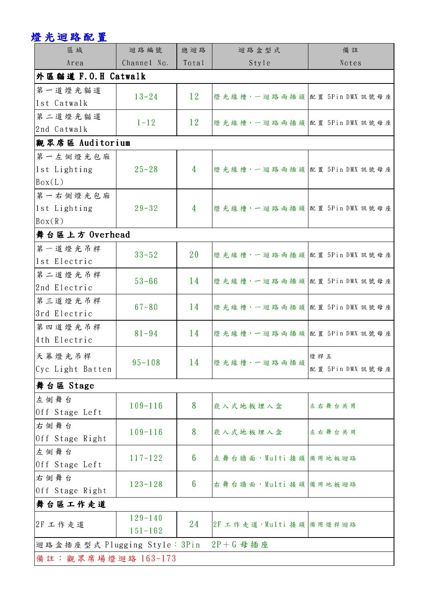## 燈光迴路配置

| 區域                                         | 迴路編號        | 總迴路             | 迴路盒型式                         | 備註               |  |  |  |
|--------------------------------------------|-------------|-----------------|-------------------------------|------------------|--|--|--|
| Area                                       | Channel No. | Total           | Style                         | Notes            |  |  |  |
| 外區貓道 F.O.H Catwalk                         |             |                 |                               |                  |  |  |  |
| 第一道燈光貓道                                    | $13 - 24$   | 12              | 燈光線槽,一迴路兩插頭 配置 5Pin DMX 訊號母座  |                  |  |  |  |
| lst Catwalk                                |             |                 |                               |                  |  |  |  |
| 第二道燈光貓道                                    | $1 - 12$    | 12              | 燈光線槽,一迴路兩插頭配置5Pin DMX 訊號母座    |                  |  |  |  |
| 2nd Catwalk                                |             |                 |                               |                  |  |  |  |
| 觀眾席區 Auditorium                            |             |                 |                               |                  |  |  |  |
| 第一左側燈光包廂                                   |             |                 |                               |                  |  |  |  |
| lst Lighting                               | $25 - 28$   | 4               | 燈光線槽,一迴路兩插頭配置5Pin DMX 訊號母座    |                  |  |  |  |
| $\left \text{Box}(L)\right $               |             |                 |                               |                  |  |  |  |
| 第一右側燈光包廂                                   |             |                 |                               |                  |  |  |  |
| lst Lighting                               | $29 - 32$   | $\overline{4}$  | 燈光線槽,一迴路兩插頭 配置 5Pin DMX 訊號母座  |                  |  |  |  |
| $\text{Box}(R)$                            |             |                 |                               |                  |  |  |  |
| 舞台區上方 Overhead                             |             |                 |                               |                  |  |  |  |
| 第一道燈光吊桿                                    | $33 - 52$   | 20              | 燈光線槽,一迴路兩插頭配置5Pin DMX 訊號母座    |                  |  |  |  |
| lst Electric                               |             |                 |                               |                  |  |  |  |
| 第二道燈光吊桿                                    | $53 - 66$   | 14              | 燈光線槽,一迴路兩插頭配置5Pin DMX 訊號母座    |                  |  |  |  |
| 2nd Electric                               |             |                 |                               |                  |  |  |  |
| 第三道燈光吊桿                                    | $67 - 80$   | 14              | 燈光線槽,一迴路兩插頭配置5Pin DMX 訊號母座    |                  |  |  |  |
| 3rd Electric                               |             |                 |                               |                  |  |  |  |
| 第四道燈光吊桿                                    | $81 - 94$   | 14              | 燈光線槽,一迴路兩插頭 配置 5Pin DMX 訊號母座  |                  |  |  |  |
| 4th Electric                               |             |                 |                               |                  |  |  |  |
| 天幕燈光吊桿                                     |             |                 | 14 燈光線槽,一迴路兩插頭 <sup>燈桿五</sup> |                  |  |  |  |
| Cyc Light Batten                           | $95 - 108$  |                 |                               | 配置 5Pin DMX 訊號母座 |  |  |  |
| 舞台區 Stage                                  |             |                 |                               |                  |  |  |  |
| 左側舞台                                       |             |                 |                               |                  |  |  |  |
| Off Stage Left                             | $109 - 116$ | 8               | 崁入式地板埋入盒                      | 左右舞台共用           |  |  |  |
| 右侧舞台                                       |             |                 |                               |                  |  |  |  |
| Off Stage Right                            | $109 - 116$ | 8               | 崁入式地板埋入盒                      | 左右舞台共用           |  |  |  |
| 左側舞台                                       |             |                 |                               |                  |  |  |  |
| Off Stage Left                             | $117 - 122$ | $6\phantom{1}6$ | 左舞台牆面, Multi 接頭 備用地板迴路        |                  |  |  |  |
| 右侧舞台                                       |             |                 |                               |                  |  |  |  |
| Off Stage Right                            | $123 - 128$ | $6\phantom{1}6$ | 右舞台牆面, Multi 接頭 備用地板迴路        |                  |  |  |  |
| 舞台區工作走道                                    |             |                 |                               |                  |  |  |  |
| $129 - 140$<br> 2F 工作走道<br>$151 - 162$     |             |                 |                               |                  |  |  |  |
|                                            |             | 24              | 2F 工作走道, Multi 接頭 備用燈桿迴路      |                  |  |  |  |
| 迴路盒插座型式 Plugging Style: 3Pin<br>$2P+G$ 母插座 |             |                 |                               |                  |  |  |  |
| 備註:觀眾席場燈迴路 163-173                         |             |                 |                               |                  |  |  |  |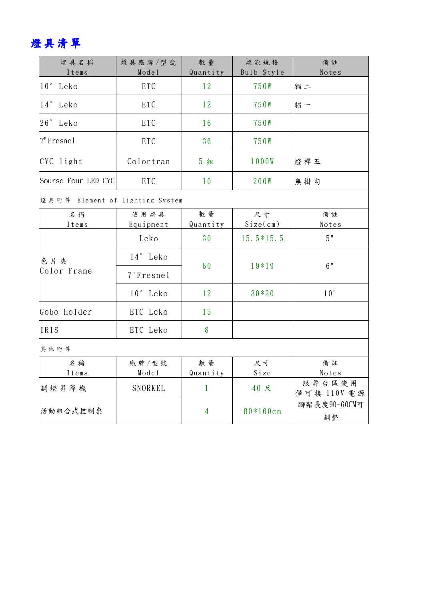# 燈具清單

| 燈具名稱<br>Items                   | 燈具廠牌/型號<br>Model  | 數量<br>Quantity | 燈泡規格<br>Bulb Style | 備註<br>Notes           |
|---------------------------------|-------------------|----------------|--------------------|-----------------------|
| 10 <sup>°</sup><br>Leko         | <b>ETC</b>        | 12             | 750W               | 貓二                    |
| 14°<br>Leko                     | ETC               | 12             | 750W               | 貓一                    |
| 26°<br>Leko                     | ETC               | 16             | 750W               |                       |
| 7"Fresnel                       | ETC               | 36             | 750W               |                       |
| $CYC$ light                     | Colortran         | 5 組            | 1000W              | 燈桿五                   |
| Sourse Four LED CYC             | ETC               | 10             | 200W               | 無掛勾                   |
| 燈具附件 Element of Lighting System |                   |                |                    |                       |
| 名稱<br>Items                     | 使用燈具<br>Equipment | 數量<br>Quantity | 尺寸<br>Size(cm)     | 備註<br>Notes           |
| 色片夾<br>Color Frame              | Leko              | 30             | $15.5*15.5$        | 5"                    |
|                                 | 14° Leko          | 60             | 19*19              | 6"                    |
|                                 | 7"Fresnel         |                |                    |                       |
|                                 | $10°$ Leko        | 12             | $30*30$            | 10"                   |
| Gobo holder                     | ETC Leko          | 15             |                    |                       |
| IRIS                            | ETC Leko          | 8              |                    |                       |
| 其他附件                            |                   |                |                    |                       |
| 名稱<br>Items                     | 廠 牌 / 型號<br>Model | 數量<br>Quantity | 尺寸<br>Size         | 備註<br>Notes           |
| 調燈昇降機                           | SNORKEL           | $\mathbf{1}$   | 40 尺               | 限舞台區使用<br>僅可接 110V 電源 |
| 活動組合式控制桌                        |                   | $\overline{4}$ | 80*160cm           | 腳架長度90~60CM可<br>調整    |